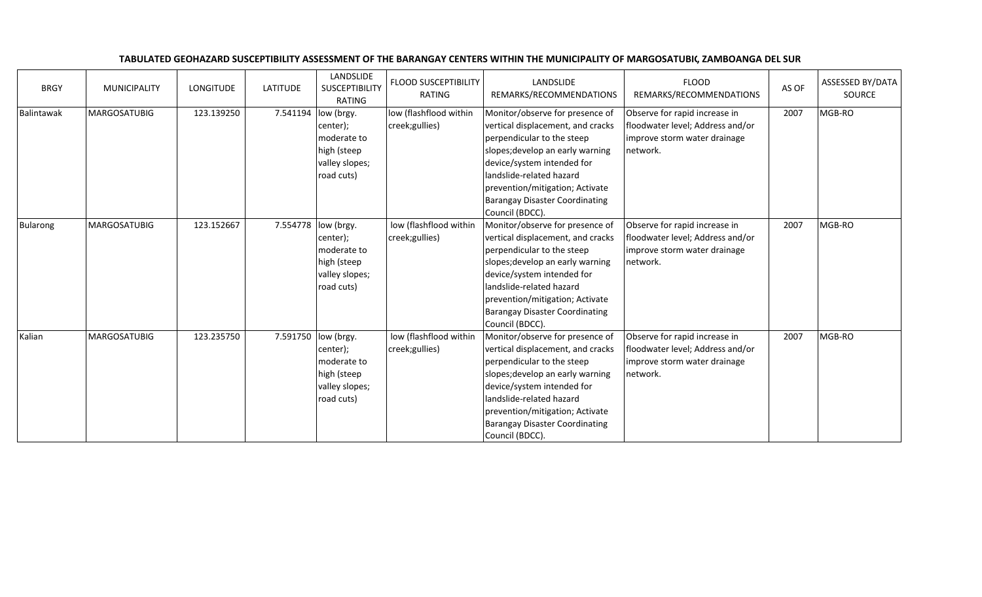| <b>BRGY</b>     | <b>MUNICIPALITY</b> | <b>LONGITUDE</b> | <b>LATITUDE</b> | LANDSLIDE<br><b>SUSCEPTIBILITY</b><br><b>RATING</b>                                            | <b>FLOOD SUSCEPTIBILITY</b><br><b>RATING</b> | LANDSLIDE<br>REMARKS/RECOMMENDATIONS                                                                                                                                                                                                                                                            | <b>FLOOD</b><br>REMARKS/RECOMMENDATIONS                                                                       | AS OF | ASSESSED BY/DATA<br>SOURCE |
|-----------------|---------------------|------------------|-----------------|------------------------------------------------------------------------------------------------|----------------------------------------------|-------------------------------------------------------------------------------------------------------------------------------------------------------------------------------------------------------------------------------------------------------------------------------------------------|---------------------------------------------------------------------------------------------------------------|-------|----------------------------|
| Balintawak      | MARGOSATUBIG        | 123.139250       | 7.541194        | low (brgy.<br>center);<br>moderate to<br>high (steep<br>valley slopes;<br>road cuts)           | low (flashflood within<br>creek;gullies)     | Monitor/observe for presence of<br>vertical displacement, and cracks<br>perpendicular to the steep<br>slopes; develop an early warning<br>device/system intended for<br>landslide-related hazard<br>prevention/mitigation; Activate<br><b>Barangay Disaster Coordinating</b><br>Council (BDCC). | Observe for rapid increase in<br>floodwater level; Address and/or<br>improve storm water drainage<br>network. | 2007  | MGB-RO                     |
| <b>Bularong</b> | <b>MARGOSATUBIG</b> | 123.152667       | 7.554778        | low (brgy.<br>center);<br>moderate to<br>high (steep<br>valley slopes;<br>road cuts)           | low (flashflood within<br>creek;gullies)     | Monitor/observe for presence of<br>vertical displacement, and cracks<br>perpendicular to the steep<br>slopes; develop an early warning<br>device/system intended for<br>landslide-related hazard<br>prevention/mitigation; Activate<br><b>Barangay Disaster Coordinating</b><br>Council (BDCC). | Observe for rapid increase in<br>floodwater level; Address and/or<br>improve storm water drainage<br>network. | 2007  | MGB-RO                     |
| Kalian          | <b>MARGOSATUBIG</b> | 123.235750       |                 | 7.591750  low (brgy.<br>center);<br>moderate to<br>high (steep<br>valley slopes;<br>road cuts) | low (flashflood within<br>creek;gullies)     | Monitor/observe for presence of<br>vertical displacement, and cracks<br>perpendicular to the steep<br>slopes; develop an early warning<br>device/system intended for<br>landslide-related hazard<br>prevention/mitigation; Activate<br><b>Barangay Disaster Coordinating</b><br>Council (BDCC). | Observe for rapid increase in<br>floodwater level; Address and/or<br>improve storm water drainage<br>network. | 2007  | MGB-RO                     |

## TABULATED GEOHAZARD SUSCEPTIBILITY ASSESSMENT OF THE BARANGAY CENTERS WITHIN THE MUNICIPALITY OF MARGOSATUBIG, ZAMBOANGA DEL SUR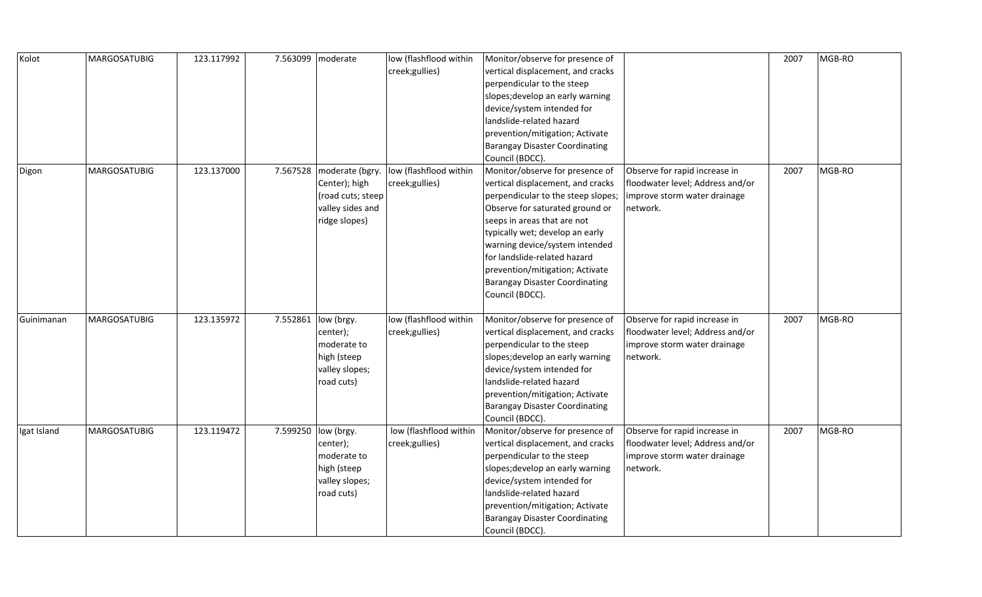| Kolot       | MARGOSATUBIG        | 123.117992 | 7.563099 | moderate            | low (flashflood within | Monitor/observe for presence of       |                                  | 2007 | MGB-RO |
|-------------|---------------------|------------|----------|---------------------|------------------------|---------------------------------------|----------------------------------|------|--------|
|             |                     |            |          |                     | creek;gullies)         | vertical displacement, and cracks     |                                  |      |        |
|             |                     |            |          |                     |                        | perpendicular to the steep            |                                  |      |        |
|             |                     |            |          |                     |                        | slopes; develop an early warning      |                                  |      |        |
|             |                     |            |          |                     |                        | device/system intended for            |                                  |      |        |
|             |                     |            |          |                     |                        | landslide-related hazard              |                                  |      |        |
|             |                     |            |          |                     |                        | prevention/mitigation; Activate       |                                  |      |        |
|             |                     |            |          |                     |                        | <b>Barangay Disaster Coordinating</b> |                                  |      |        |
|             |                     |            |          |                     |                        | Council (BDCC).                       |                                  |      |        |
| Digon       | <b>MARGOSATUBIG</b> | 123.137000 | 7.567528 | moderate (bgry.     | low (flashflood within | Monitor/observe for presence of       | Observe for rapid increase in    | 2007 | MGB-RO |
|             |                     |            |          | Center); high       | creek;gullies)         | vertical displacement, and cracks     | floodwater level; Address and/or |      |        |
|             |                     |            |          | (road cuts; steep   |                        | perpendicular to the steep slopes;    | improve storm water drainage     |      |        |
|             |                     |            |          | valley sides and    |                        | Observe for saturated ground or       | network.                         |      |        |
|             |                     |            |          | ridge slopes)       |                        | seeps in areas that are not           |                                  |      |        |
|             |                     |            |          |                     |                        | typically wet; develop an early       |                                  |      |        |
|             |                     |            |          |                     |                        | warning device/system intended        |                                  |      |        |
|             |                     |            |          |                     |                        | for landslide-related hazard          |                                  |      |        |
|             |                     |            |          |                     |                        | prevention/mitigation; Activate       |                                  |      |        |
|             |                     |            |          |                     |                        | <b>Barangay Disaster Coordinating</b> |                                  |      |        |
|             |                     |            |          |                     |                        | Council (BDCC).                       |                                  |      |        |
|             |                     |            |          |                     |                        |                                       |                                  |      |        |
| Guinimanan  | <b>MARGOSATUBIG</b> | 123.135972 | 7.552861 | low (brgy.          | low (flashflood within | Monitor/observe for presence of       | Observe for rapid increase in    | 2007 | MGB-RO |
|             |                     |            |          | center);            | creek;gullies)         | vertical displacement, and cracks     | floodwater level; Address and/or |      |        |
|             |                     |            |          |                     |                        |                                       |                                  |      |        |
|             |                     |            |          | moderate to         |                        | perpendicular to the steep            | improve storm water drainage     |      |        |
|             |                     |            |          | high (steep         |                        | slopes; develop an early warning      | network.                         |      |        |
|             |                     |            |          | valley slopes;      |                        | device/system intended for            |                                  |      |        |
|             |                     |            |          | road cuts)          |                        | landslide-related hazard              |                                  |      |        |
|             |                     |            |          |                     |                        | prevention/mitigation; Activate       |                                  |      |        |
|             |                     |            |          |                     |                        | <b>Barangay Disaster Coordinating</b> |                                  |      |        |
|             |                     |            |          |                     |                        | Council (BDCC).                       |                                  |      |        |
| Igat Island | <b>MARGOSATUBIG</b> | 123.119472 |          | 7.599250 low (brgy. | low (flashflood within | Monitor/observe for presence of       | Observe for rapid increase in    | 2007 | MGB-RO |
|             |                     |            |          | center);            | creek;gullies)         | vertical displacement, and cracks     | floodwater level; Address and/or |      |        |
|             |                     |            |          | moderate to         |                        | perpendicular to the steep            | improve storm water drainage     |      |        |
|             |                     |            |          | high (steep         |                        | slopes; develop an early warning      | network.                         |      |        |
|             |                     |            |          | valley slopes;      |                        | device/system intended for            |                                  |      |        |
|             |                     |            |          | road cuts)          |                        | landslide-related hazard              |                                  |      |        |
|             |                     |            |          |                     |                        | prevention/mitigation; Activate       |                                  |      |        |
|             |                     |            |          |                     |                        | <b>Barangay Disaster Coordinating</b> |                                  |      |        |
|             |                     |            |          |                     |                        | Council (BDCC).                       |                                  |      |        |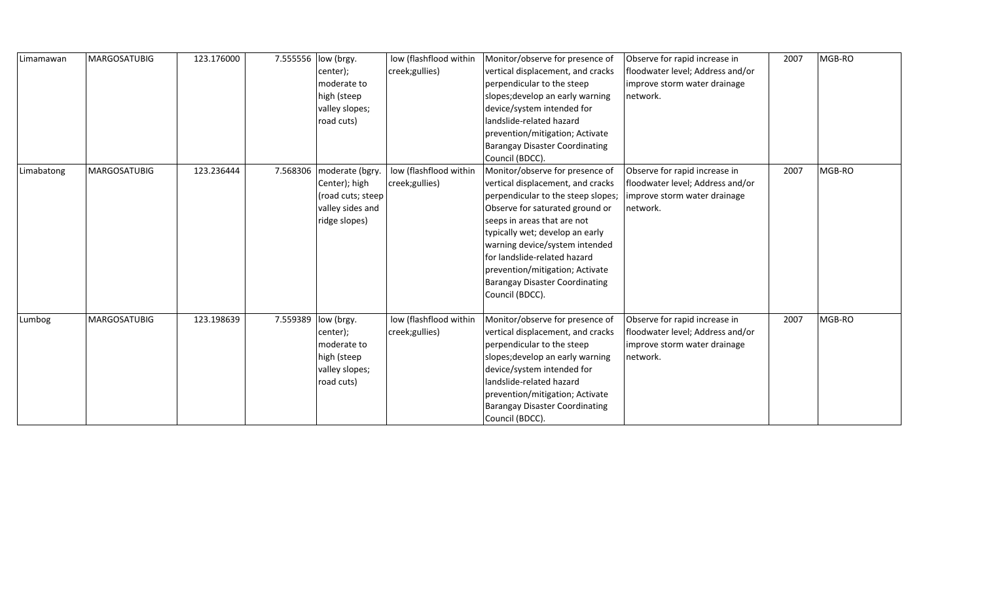| Limamawan  | <b>MARGOSATUBIG</b> | 123.176000 | 7.555556 | low (brgy.<br>center);<br>moderate to<br>high (steep<br>valley slopes;<br>road cuts)       | low (flashflood within<br>creek;gullies)  | Monitor/observe for presence of<br>vertical displacement, and cracks<br>perpendicular to the steep<br>slopes; develop an early warning<br>device/system intended for<br>landslide-related hazard<br>prevention/mitigation; Activate<br><b>Barangay Disaster Coordinating</b><br>Council (BDCC).                                                                                  | Observe for rapid increase in<br>floodwater level; Address and/or<br>improve storm water drainage<br>network. | 2007 | MGB-RO |
|------------|---------------------|------------|----------|--------------------------------------------------------------------------------------------|-------------------------------------------|----------------------------------------------------------------------------------------------------------------------------------------------------------------------------------------------------------------------------------------------------------------------------------------------------------------------------------------------------------------------------------|---------------------------------------------------------------------------------------------------------------|------|--------|
| Limabatong | <b>MARGOSATUBIG</b> | 123.236444 | 7.568306 | moderate (bgry.<br>Center); high<br>(road cuts; steep<br>valley sides and<br>ridge slopes) | low (flashflood within<br>creek; gullies) | Monitor/observe for presence of<br>vertical displacement, and cracks<br>perpendicular to the steep slopes;<br>Observe for saturated ground or<br>seeps in areas that are not<br>typically wet; develop an early<br>warning device/system intended<br>for landslide-related hazard<br>prevention/mitigation; Activate<br><b>Barangay Disaster Coordinating</b><br>Council (BDCC). | Observe for rapid increase in<br>floodwater level; Address and/or<br>improve storm water drainage<br>network. | 2007 | MGB-RO |
| Lumbog     | <b>MARGOSATUBIG</b> | 123.198639 | 7.559389 | low (brgy.<br>center);<br>moderate to<br>high (steep<br>valley slopes;<br>road cuts)       | low (flashflood within<br>creek;gullies)  | Monitor/observe for presence of<br>vertical displacement, and cracks<br>perpendicular to the steep<br>slopes; develop an early warning<br>device/system intended for<br>landslide-related hazard<br>prevention/mitigation; Activate<br><b>Barangay Disaster Coordinating</b><br>Council (BDCC).                                                                                  | Observe for rapid increase in<br>floodwater level; Address and/or<br>improve storm water drainage<br>network. | 2007 | MGB-RO |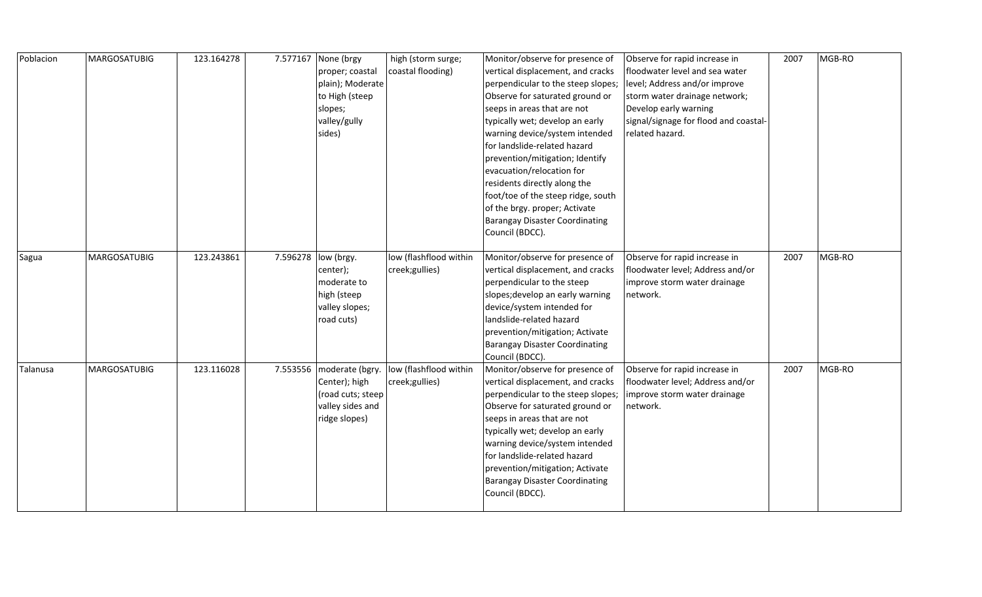| Poblacion | <b>MARGOSATUBIG</b> | 123.164278 |          | 7.577167 None (brgy                   | high (storm surge;     | Monitor/observe for presence of                                       | Observe for rapid increase in                                     | 2007 | MGB-RO |
|-----------|---------------------|------------|----------|---------------------------------------|------------------------|-----------------------------------------------------------------------|-------------------------------------------------------------------|------|--------|
|           |                     |            |          | proper; coastal                       | coastal flooding)      | vertical displacement, and cracks                                     | floodwater level and sea water                                    |      |        |
|           |                     |            |          | plain); Moderate                      |                        | perpendicular to the steep slopes;                                    | level; Address and/or improve                                     |      |        |
|           |                     |            |          | to High (steep                        |                        | Observe for saturated ground or                                       | storm water drainage network;                                     |      |        |
|           |                     |            |          | slopes;                               |                        | seeps in areas that are not                                           | Develop early warning                                             |      |        |
|           |                     |            |          | valley/gully                          |                        | typically wet; develop an early                                       | signal/signage for flood and coastal-                             |      |        |
|           |                     |            |          | sides)                                |                        | warning device/system intended                                        | related hazard.                                                   |      |        |
|           |                     |            |          |                                       |                        | for landslide-related hazard                                          |                                                                   |      |        |
|           |                     |            |          |                                       |                        | prevention/mitigation; Identify                                       |                                                                   |      |        |
|           |                     |            |          |                                       |                        | evacuation/relocation for                                             |                                                                   |      |        |
|           |                     |            |          |                                       |                        | residents directly along the                                          |                                                                   |      |        |
|           |                     |            |          |                                       |                        | foot/toe of the steep ridge, south                                    |                                                                   |      |        |
|           |                     |            |          |                                       |                        | of the brgy. proper; Activate                                         |                                                                   |      |        |
|           |                     |            |          |                                       |                        | <b>Barangay Disaster Coordinating</b>                                 |                                                                   |      |        |
|           |                     |            |          |                                       |                        | Council (BDCC).                                                       |                                                                   |      |        |
|           |                     |            |          |                                       |                        |                                                                       |                                                                   |      |        |
| Sagua     | <b>MARGOSATUBIG</b> | 123.243861 | 7.596278 | low (brgy.                            | low (flashflood within | Monitor/observe for presence of                                       | Observe for rapid increase in                                     | 2007 | MGB-RO |
|           |                     |            |          | center);                              | creek;gullies)         | vertical displacement, and cracks                                     | floodwater level; Address and/or                                  |      |        |
|           |                     |            |          | moderate to                           |                        | perpendicular to the steep                                            | improve storm water drainage                                      |      |        |
|           |                     |            |          | high (steep                           |                        | slopes; develop an early warning                                      | network.                                                          |      |        |
|           |                     |            |          | valley slopes;                        |                        | device/system intended for                                            |                                                                   |      |        |
|           |                     |            |          | road cuts)                            |                        | landslide-related hazard                                              |                                                                   |      |        |
|           |                     |            |          |                                       |                        | prevention/mitigation; Activate                                       |                                                                   |      |        |
|           |                     |            |          |                                       |                        | <b>Barangay Disaster Coordinating</b>                                 |                                                                   |      |        |
|           |                     | 123.116028 |          |                                       |                        | Council (BDCC).                                                       |                                                                   | 2007 |        |
| Talanusa  | <b>MARGOSATUBIG</b> |            |          | 7.553556   moderate (bgry.            | low (flashflood within | Monitor/observe for presence of<br>vertical displacement, and cracks  | Observe for rapid increase in<br>floodwater level; Address and/or |      | MGB-RO |
|           |                     |            |          | Center); high                         | creek;gullies)         |                                                                       |                                                                   |      |        |
|           |                     |            |          | (road cuts; steep<br>valley sides and |                        | perpendicular to the steep slopes;<br>Observe for saturated ground or | improve storm water drainage<br>network.                          |      |        |
|           |                     |            |          | ridge slopes)                         |                        | seeps in areas that are not                                           |                                                                   |      |        |
|           |                     |            |          |                                       |                        | typically wet; develop an early                                       |                                                                   |      |        |
|           |                     |            |          |                                       |                        | warning device/system intended                                        |                                                                   |      |        |
|           |                     |            |          |                                       |                        | for landslide-related hazard                                          |                                                                   |      |        |
|           |                     |            |          |                                       |                        | prevention/mitigation; Activate                                       |                                                                   |      |        |
|           |                     |            |          |                                       |                        | <b>Barangay Disaster Coordinating</b>                                 |                                                                   |      |        |
|           |                     |            |          |                                       |                        | Council (BDCC).                                                       |                                                                   |      |        |
|           |                     |            |          |                                       |                        |                                                                       |                                                                   |      |        |